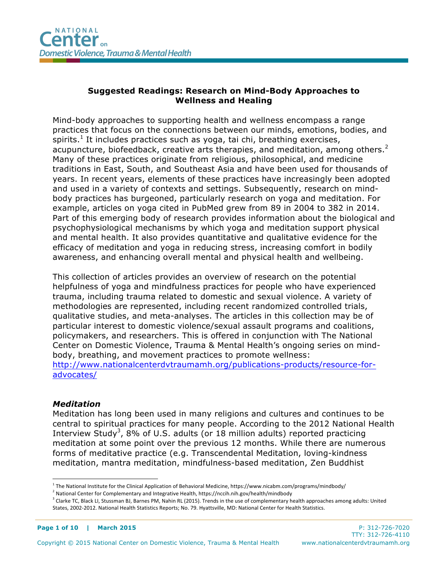# **Suggested Readings: Research on Mind-Body Approaches to Wellness and Healing**

Mind-body approaches to supporting health and wellness encompass a range practices that focus on the connections between our minds, emotions, bodies, and spirits.<sup>1</sup> It includes practices such as yoga, tai chi, breathing exercises, acupuncture, biofeedback, creative arts therapies, and meditation, among others.<sup>2</sup> Many of these practices originate from religious, philosophical, and medicine traditions in East, South, and Southeast Asia and have been used for thousands of years. In recent years, elements of these practices have increasingly been adopted and used in a variety of contexts and settings. Subsequently, research on mindbody practices has burgeoned, particularly research on yoga and meditation. For example, articles on yoga cited in PubMed grew from 89 in 2004 to 382 in 2014. Part of this emerging body of research provides information about the biological and psychophysiological mechanisms by which yoga and meditation support physical and mental health. It also provides quantitative and qualitative evidence for the efficacy of meditation and yoga in reducing stress, increasing comfort in bodily awareness, and enhancing overall mental and physical health and wellbeing.

This collection of articles provides an overview of research on the potential helpfulness of yoga and mindfulness practices for people who have experienced trauma, including trauma related to domestic and sexual violence. A variety of methodologies are represented, including recent randomized controlled trials, qualitative studies, and meta-analyses. The articles in this collection may be of particular interest to domestic violence/sexual assault programs and coalitions, policymakers, and researchers. This is offered in conjunction with The National Center on Domestic Violence, Trauma & Mental Health's ongoing series on mindbody, breathing, and movement practices to promote wellness: http://www.nationalcenterdvtraumamh.org/publications-products/resource-foradvocates/

#### *Meditation*

Meditation has long been used in many religions and cultures and continues to be central to spiritual practices for many people. According to the 2012 National Health Interview Study<sup>3</sup>, 8% of U.S. adults (or 18 million adults) reported practicing meditation at some point over the previous 12 months. While there are numerous forms of meditative practice (e.g. Transcendental Meditation, loving-kindness meditation, mantra meditation, mindfulness-based meditation, Zen Buddhist

 $1$  The National Institute for the Clinical Application of Behavioral Medicine, https://www.nicabm.com/programs/mindbody/

 $2$  National Center for Complementary and Integrative Health, https://nccih.nih.gov/health/mindbody

<sup>&</sup>lt;sup>3</sup> Clarke TC, Black LI, Stussman BJ, Barnes PM, Nahin RL (2015). Trends in the use of complementary health approaches among adults: United States, 2002-2012. National Health Statistics Reports; No. 79. Hyattsville, MD: National Center for Health Statistics.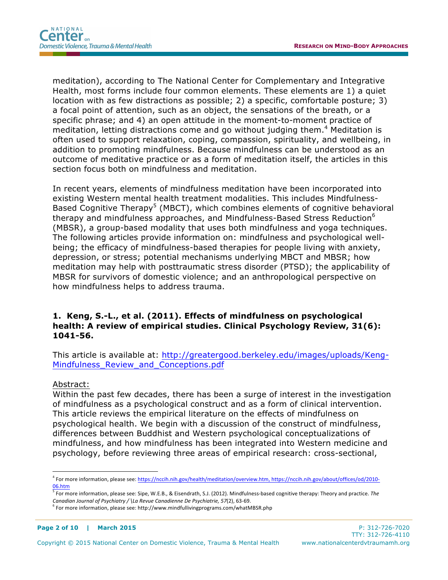meditation), according to The National Center for Complementary and Integrative Health, most forms include four common elements. These elements are 1) a quiet location with as few distractions as possible; 2) a specific, comfortable posture; 3) a focal point of attention, such as an object, the sensations of the breath, or a specific phrase; and 4) an open attitude in the moment-to-moment practice of meditation, letting distractions come and go without judging them.<sup>4</sup> Meditation is often used to support relaxation, coping, compassion, spirituality, and wellbeing, in addition to promoting mindfulness. Because mindfulness can be understood as an outcome of meditative practice or as a form of meditation itself, the articles in this section focus both on mindfulness and meditation.

In recent years, elements of mindfulness meditation have been incorporated into existing Western mental health treatment modalities. This includes Mindfulness-Based Cognitive Therapy<sup>5</sup> (MBCT), which combines elements of cognitive behavioral therapy and mindfulness approaches, and Mindfulness-Based Stress Reduction<sup>6</sup> (MBSR), a group-based modality that uses both mindfulness and yoga techniques. The following articles provide information on: mindfulness and psychological wellbeing; the efficacy of mindfulness-based therapies for people living with anxiety, depression, or stress; potential mechanisms underlying MBCT and MBSR; how meditation may help with posttraumatic stress disorder (PTSD); the applicability of MBSR for survivors of domestic violence; and an anthropological perspective on how mindfulness helps to address trauma.

### **1. Keng, S.-L., et al. (2011). Effects of mindfulness on psychological health: A review of empirical studies. Clinical Psychology Review, 31(6): 1041-56.**

This article is available at: http://greatergood.berkeley.edu/images/uploads/Keng-Mindfulness\_Review\_and\_Conceptions.pdf

#### Abstract:

 $\overline{a}$ 

Within the past few decades, there has been a surge of interest in the investigation of mindfulness as a psychological construct and as a form of clinical intervention. This article reviews the empirical literature on the effects of mindfulness on psychological health. We begin with a discussion of the construct of mindfulness, differences between Buddhist and Western psychological conceptualizations of mindfulness, and how mindfulness has been integrated into Western medicine and psychology, before reviewing three areas of empirical research: cross-sectional,

<sup>&</sup>lt;sup>4</sup> For more information, please see: https://nccih.nih.gov/health/meditation/overview.htm, https://nccih.nih.gov/about/offices/od/2010-06.htm

 $5$  For more information, please see: Sipe, W.E.B., & Eisendrath, S.J. (2012). Mindfulness-based cognitive therapy: Theory and practice. The *Canadian Journal of Psychiatry* / \La Revue Canadienne De Psychiatrie, 57(2), 63-69.

 $6$  For more information, please see: http://www.mindfullivingprograms.com/whatMBSR.php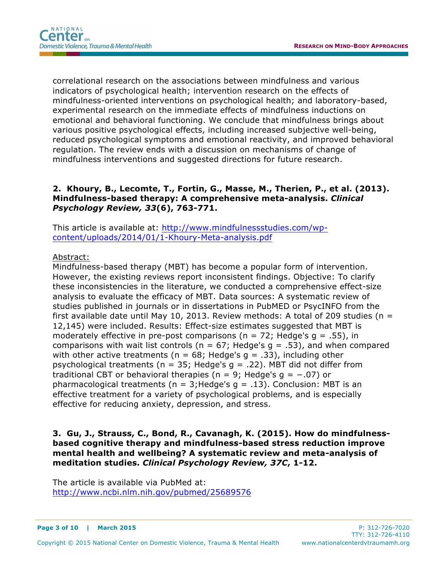correlational research on the associations between mindfulness and various indicators of psychological health; intervention research on the effects of mindfulness-oriented interventions on psychological health; and laboratory-based, experimental research on the immediate effects of mindfulness inductions on emotional and behavioral functioning. We conclude that mindfulness brings about various positive psychological effects, including increased subjective well-being, reduced psychological symptoms and emotional reactivity, and improved behavioral regulation. The review ends with a discussion on mechanisms of change of mindfulness interventions and suggested directions for future research.

## **2. Khoury, B., Lecomte, T., Fortin, G., Masse, M., Therien, P., et al. (2013). Mindfulness-based therapy: A comprehensive meta-analysis.** *Clinical Psychology Review, 33***(6), 763-771.**

This article is available at: http://www.mindfulnessstudies.com/wpcontent/uploads/2014/01/1-Khoury-Meta-analysis.pdf

### Abstract:

Mindfulness-based therapy (MBT) has become a popular form of intervention. However, the existing reviews report inconsistent findings. Objective: To clarify these inconsistencies in the literature, we conducted a comprehensive effect-size analysis to evaluate the efficacy of MBT. Data sources: A systematic review of studies published in journals or in dissertations in PubMED or PsycINFO from the first available date until May 10, 2013. Review methods: A total of 209 studies ( $n =$ 12,145) were included. Results: Effect-size estimates suggested that MBT is moderately effective in pre-post comparisons ( $n = 72$ ; Hedge's  $q = .55$ ), in comparisons with wait list controls ( $n = 67$ ; Hedge's  $q = .53$ ), and when compared with other active treatments ( $n = 68$ ; Hedge's  $q = .33$ ), including other psychological treatments ( $n = 35$ ; Hedge's  $q = .22$ ). MBT did not differ from traditional CBT or behavioral therapies (n = 9; Hedge's  $q = -.07$ ) or pharmacological treatments ( $n = 3$ ; Hedge's  $q = .13$ ). Conclusion: MBT is an effective treatment for a variety of psychological problems, and is especially effective for reducing anxiety, depression, and stress.

**3. Gu, J., Strauss, C., Bond, R., Cavanagh, K. (2015). How do mindfulnessbased cognitive therapy and mindfulness-based stress reduction improve mental health and wellbeing? A systematic review and meta-analysis of meditation studies.** *Clinical Psychology Review, 37C***, 1-12.**

The article is available via PubMed at: http://www.ncbi.nlm.nih.gov/pubmed/25689576

#### **Page 3 of 10 | March 2015** P: 312-726-7020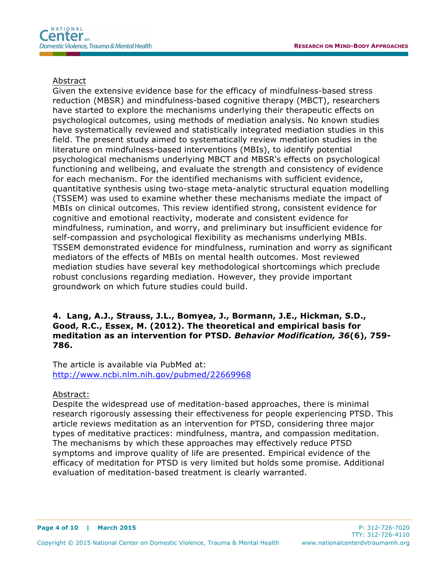#### Abstract

Given the extensive evidence base for the efficacy of mindfulness-based stress reduction (MBSR) and mindfulness-based cognitive therapy (MBCT), researchers have started to explore the mechanisms underlying their therapeutic effects on psychological outcomes, using methods of mediation analysis. No known studies have systematically reviewed and statistically integrated mediation studies in this field. The present study aimed to systematically review mediation studies in the literature on mindfulness-based interventions (MBIs), to identify potential psychological mechanisms underlying MBCT and MBSR's effects on psychological functioning and wellbeing, and evaluate the strength and consistency of evidence for each mechanism. For the identified mechanisms with sufficient evidence, quantitative synthesis using two-stage meta-analytic structural equation modelling (TSSEM) was used to examine whether these mechanisms mediate the impact of MBIs on clinical outcomes. This review identified strong, consistent evidence for cognitive and emotional reactivity, moderate and consistent evidence for mindfulness, rumination, and worry, and preliminary but insufficient evidence for self-compassion and psychological flexibility as mechanisms underlying MBIs. TSSEM demonstrated evidence for mindfulness, rumination and worry as significant mediators of the effects of MBIs on mental health outcomes. Most reviewed mediation studies have several key methodological shortcomings which preclude robust conclusions regarding mediation. However, they provide important groundwork on which future studies could build.

## **4. Lang, A.J., Strauss, J.L., Bomyea, J., Bormann, J.E., Hickman, S.D., Good, R.C., Essex, M. (2012). The theoretical and empirical basis for meditation as an intervention for PTSD***. Behavior Modification, 36***(6), 759- 786.**

The article is available via PubMed at: http://www.ncbi.nlm.nih.gov/pubmed/22669968

#### Abstract:

Despite the widespread use of meditation-based approaches, there is minimal research rigorously assessing their effectiveness for people experiencing PTSD. This article reviews meditation as an intervention for PTSD, considering three major types of meditative practices: mindfulness, mantra, and compassion meditation. The mechanisms by which these approaches may effectively reduce PTSD symptoms and improve quality of life are presented. Empirical evidence of the efficacy of meditation for PTSD is very limited but holds some promise. Additional evaluation of meditation-based treatment is clearly warranted.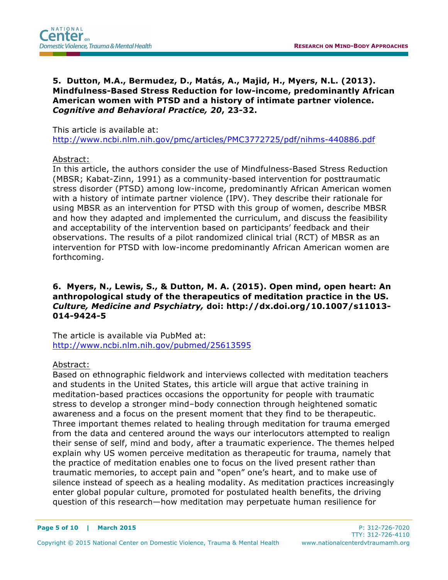**5. Dutton, M.A., Bermudez, D., Matás, A., Majid, H., Myers, N.L. (2013). Mindfulness-Based Stress Reduction for low-income, predominantly African American women with PTSD and a history of intimate partner violence.**  *Cognitive and Behavioral Practice, 20***, 23-32.**

This article is available at:

http://www.ncbi.nlm.nih.gov/pmc/articles/PMC3772725/pdf/nihms-440886.pdf

### Abstract:

In this article, the authors consider the use of Mindfulness-Based Stress Reduction (MBSR; Kabat-Zinn, 1991) as a community-based intervention for posttraumatic stress disorder (PTSD) among low-income, predominantly African American women with a history of intimate partner violence (IPV). They describe their rationale for using MBSR as an intervention for PTSD with this group of women, describe MBSR and how they adapted and implemented the curriculum, and discuss the feasibility and acceptability of the intervention based on participants' feedback and their observations. The results of a pilot randomized clinical trial (RCT) of MBSR as an intervention for PTSD with low-income predominantly African American women are forthcoming.

# **6. Myers, N., Lewis, S., & Dutton, M. A. (2015). Open mind, open heart: An anthropological study of the therapeutics of meditation practice in the US.** *Culture, Medicine and Psychiatry,* **doi: http://dx.doi.org/10.1007/s11013- 014-9424-5**

The article is available via PubMed at: http://www.ncbi.nlm.nih.gov/pubmed/25613595

### Abstract:

Based on ethnographic fieldwork and interviews collected with meditation teachers and students in the United States, this article will argue that active training in meditation-based practices occasions the opportunity for people with traumatic stress to develop a stronger mind–body connection through heightened somatic awareness and a focus on the present moment that they find to be therapeutic. Three important themes related to healing through meditation for trauma emerged from the data and centered around the ways our interlocutors attempted to realign their sense of self, mind and body, after a traumatic experience. The themes helped explain why US women perceive meditation as therapeutic for trauma, namely that the practice of meditation enables one to focus on the lived present rather than traumatic memories, to accept pain and "open" one's heart, and to make use of silence instead of speech as a healing modality. As meditation practices increasingly enter global popular culture, promoted for postulated health benefits, the driving question of this research—how meditation may perpetuate human resilience for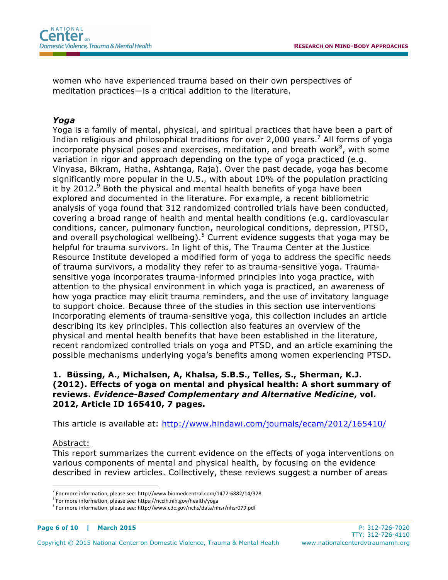women who have experienced trauma based on their own perspectives of meditation practices—is a critical addition to the literature.

# *Yoga*

Yoga is a family of mental, physical, and spiritual practices that have been a part of Indian religious and philosophical traditions for over 2,000 years.<sup>7</sup> All forms of yoga incorporate physical poses and exercises, meditation, and breath work ${}^{8}$ , with some variation in rigor and approach depending on the type of yoga practiced (e.g. Vinyasa, Bikram, Hatha, Ashtanga, Raja). Over the past decade, yoga has become significantly more popular in the U.S., with about 10% of the population practicing it by 2012. $9$  Both the physical and mental health benefits of yoga have been explored and documented in the literature. For example, a recent bibliometric analysis of yoga found that 312 randomized controlled trials have been conducted, covering a broad range of health and mental health conditions (e.g. cardiovascular conditions, cancer, pulmonary function, neurological conditions, depression, PTSD, and overall psychological wellbeing).<sup>5</sup> Current evidence suggests that yoga may be helpful for trauma survivors. In light of this, The Trauma Center at the Justice Resource Institute developed a modified form of yoga to address the specific needs of trauma survivors, a modality they refer to as trauma-sensitive yoga. Traumasensitive yoga incorporates trauma-informed principles into yoga practice, with attention to the physical environment in which yoga is practiced, an awareness of how yoga practice may elicit trauma reminders, and the use of invitatory language to support choice. Because three of the studies in this section use interventions incorporating elements of trauma-sensitive yoga, this collection includes an article describing its key principles. This collection also features an overview of the physical and mental health benefits that have been established in the literature, recent randomized controlled trials on yoga and PTSD, and an article examining the possible mechanisms underlying yoga's benefits among women experiencing PTSD.

# **1. Büssing, A., Michalsen, A, Khalsa, S.B.S., Telles, S., Sherman, K.J. (2012). Effects of yoga on mental and physical health: A short summary of reviews.** *Evidence-Based Complementary and Alternative Medicine***, vol. 2012, Article ID 165410, 7 pages.**

This article is available at: http://www.hindawi.com/journals/ecam/2012/165410/

#### Abstract:

 $\overline{a}$ 

This report summarizes the current evidence on the effects of yoga interventions on various components of mental and physical health, by focusing on the evidence described in review articles. Collectively, these reviews suggest a number of areas

 $7$  For more information, please see: http://www.biomedcentral.com/1472-6882/14/328

 $8$  For more information, please see: https://nccih.nih.gov/health/yoga

 $9$  For more information, please see: http://www.cdc.gov/nchs/data/nhsr/nhsr079.pdf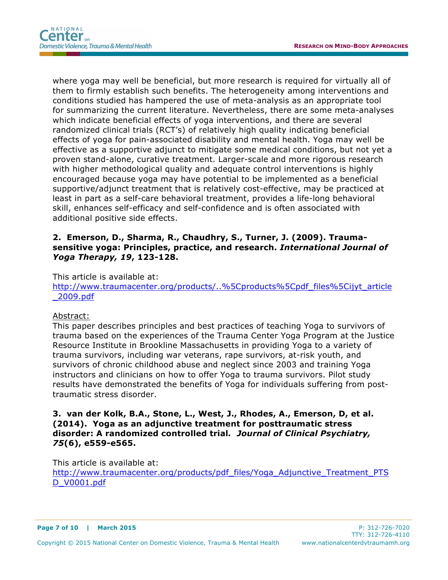where yoga may well be beneficial, but more research is required for virtually all of them to firmly establish such benefits. The heterogeneity among interventions and conditions studied has hampered the use of meta-analysis as an appropriate tool for summarizing the current literature. Nevertheless, there are some meta-analyses which indicate beneficial effects of yoga interventions, and there are several randomized clinical trials (RCT's) of relatively high quality indicating beneficial effects of yoga for pain-associated disability and mental health. Yoga may well be effective as a supportive adjunct to mitigate some medical conditions, but not yet a proven stand-alone, curative treatment. Larger-scale and more rigorous research with higher methodological quality and adequate control interventions is highly encouraged because yoga may have potential to be implemented as a beneficial supportive/adjunct treatment that is relatively cost-effective, may be practiced at least in part as a self-care behavioral treatment, provides a life-long behavioral skill, enhances self-efficacy and self-confidence and is often associated with additional positive side effects.

## **2. Emerson, D., Sharma, R., Chaudhry, S., Turner, J. (2009). Traumasensitive yoga: Principles, practice, and research.** *International Journal of Yoga Therapy, 19***, 123-128.**

This article is available at:

http://www.traumacenter.org/products/..%5Cproducts%5Cpdf\_files%5Cijyt\_article \_2009.pdf

#### Abstract:

This paper describes principles and best practices of teaching Yoga to survivors of trauma based on the experiences of the Trauma Center Yoga Program at the Justice Resource Institute in Brookline Massachusetts in providing Yoga to a variety of trauma survivors, including war veterans, rape survivors, at-risk youth, and survivors of chronic childhood abuse and neglect since 2003 and training Yoga instructors and clinicians on how to offer Yoga to trauma survivors. Pilot study results have demonstrated the benefits of Yoga for individuals suffering from posttraumatic stress disorder.

### **3. van der Kolk, B.A., Stone, L., West, J., Rhodes, A., Emerson, D, et al. (2014). Yoga as an adjunctive treatment for posttraumatic stress disorder: A randomized controlled trial***. Journal of Clinical Psychiatry, 75***(6), e559-e565.**

This article is available at:

http://www.traumacenter.org/products/pdf\_files/Yoga\_Adjunctive\_Treatment\_PTS D\_V0001.pdf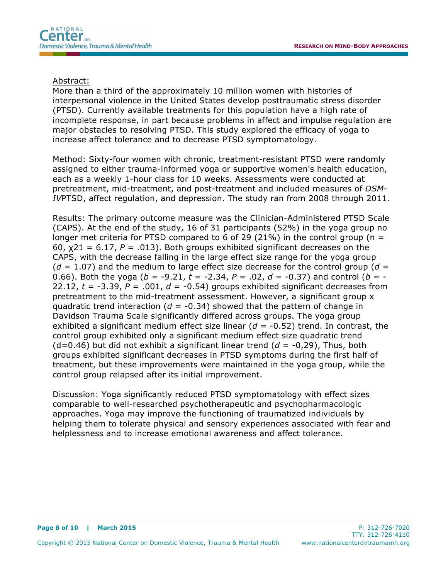#### Abstract:

More than a third of the approximately 10 million women with histories of interpersonal violence in the United States develop posttraumatic stress disorder (PTSD). Currently available treatments for this population have a high rate of incomplete response, in part because problems in affect and impulse regulation are major obstacles to resolving PTSD. This study explored the efficacy of yoga to increase affect tolerance and to decrease PTSD symptomatology.

Method: Sixty-four women with chronic, treatment-resistant PTSD were randomly assigned to either trauma-informed yoga or supportive women's health education, each as a weekly 1-hour class for 10 weeks. Assessments were conducted at pretreatment, mid-treatment, and post-treatment and included measures of *DSM-IV*PTSD, affect regulation, and depression. The study ran from 2008 through 2011.

Results: The primary outcome measure was the Clinician-Administered PTSD Scale (CAPS). At the end of the study, 16 of 31 participants (52%) in the yoga group no longer met criteria for PTSD compared to 6 of 29 (21%) in the control group ( $n =$ 60,  $\chi$ 21 = 6.17, P = .013). Both groups exhibited significant decreases on the CAPS, with the decrease falling in the large effect size range for the yoga group  $(d = 1.07)$  and the medium to large effect size decrease for the control group  $(d = 1.07)$ 0.66). Both the yoga ( $b = -9.21$ ,  $t = -2.34$ ,  $P = .02$ ,  $d = -0.37$ ) and control ( $b = -1$ 22.12,  $t = -3.39$ ,  $P = .001$ ,  $d = -0.54$ ) groups exhibited significant decreases from pretreatment to the mid-treatment assessment. However, a significant group x quadratic trend interaction ( $d = -0.34$ ) showed that the pattern of change in Davidson Trauma Scale significantly differed across groups. The yoga group exhibited a significant medium effect size linear  $(d = -0.52)$  trend. In contrast, the control group exhibited only a significant medium effect size quadratic trend (d=0.46) but did not exhibit a significant linear trend (*d* = -0,29), Thus, both groups exhibited significant decreases in PTSD symptoms during the first half of treatment, but these improvements were maintained in the yoga group, while the control group relapsed after its initial improvement.

Discussion: Yoga significantly reduced PTSD symptomatology with effect sizes comparable to well-researched psychotherapeutic and psychopharmacologic approaches. Yoga may improve the functioning of traumatized individuals by helping them to tolerate physical and sensory experiences associated with fear and helplessness and to increase emotional awareness and affect tolerance.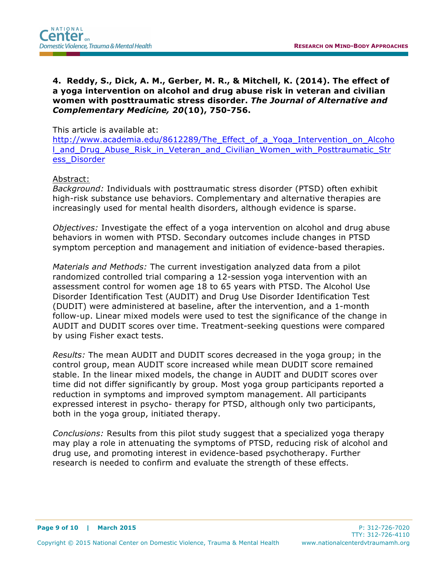**4. Reddy, S., Dick, A. M., Gerber, M. R., & Mitchell, K. (2014). The effect of a yoga intervention on alcohol and drug abuse risk in veteran and civilian women with posttraumatic stress disorder.** *The Journal of Alternative and Complementary Medicine, 20***(10), 750-756.**

### This article is available at:

http://www.academia.edu/8612289/The\_Effect\_of\_a\_Yoga\_Intervention\_on\_Alcoho l\_and\_Drug\_Abuse\_Risk\_in\_Veteran\_and\_Civilian\_Women\_with\_Posttraumatic\_Str ess\_Disorder

### Abstract:

*Background:* Individuals with posttraumatic stress disorder (PTSD) often exhibit high-risk substance use behaviors. Complementary and alternative therapies are increasingly used for mental health disorders, although evidence is sparse.

*Objectives:* Investigate the effect of a yoga intervention on alcohol and drug abuse behaviors in women with PTSD. Secondary outcomes include changes in PTSD symptom perception and management and initiation of evidence-based therapies.

*Materials and Methods:* The current investigation analyzed data from a pilot randomized controlled trial comparing a 12-session yoga intervention with an assessment control for women age 18 to 65 years with PTSD. The Alcohol Use Disorder Identification Test (AUDIT) and Drug Use Disorder Identification Test (DUDIT) were administered at baseline, after the intervention, and a 1-month follow-up. Linear mixed models were used to test the significance of the change in AUDIT and DUDIT scores over time. Treatment-seeking questions were compared by using Fisher exact tests.

*Results:* The mean AUDIT and DUDIT scores decreased in the yoga group; in the control group, mean AUDIT score increased while mean DUDIT score remained stable. In the linear mixed models, the change in AUDIT and DUDIT scores over time did not differ significantly by group. Most yoga group participants reported a reduction in symptoms and improved symptom management. All participants expressed interest in psycho- therapy for PTSD, although only two participants, both in the yoga group, initiated therapy.

*Conclusions:* Results from this pilot study suggest that a specialized yoga therapy may play a role in attenuating the symptoms of PTSD, reducing risk of alcohol and drug use, and promoting interest in evidence-based psychotherapy. Further research is needed to confirm and evaluate the strength of these effects.